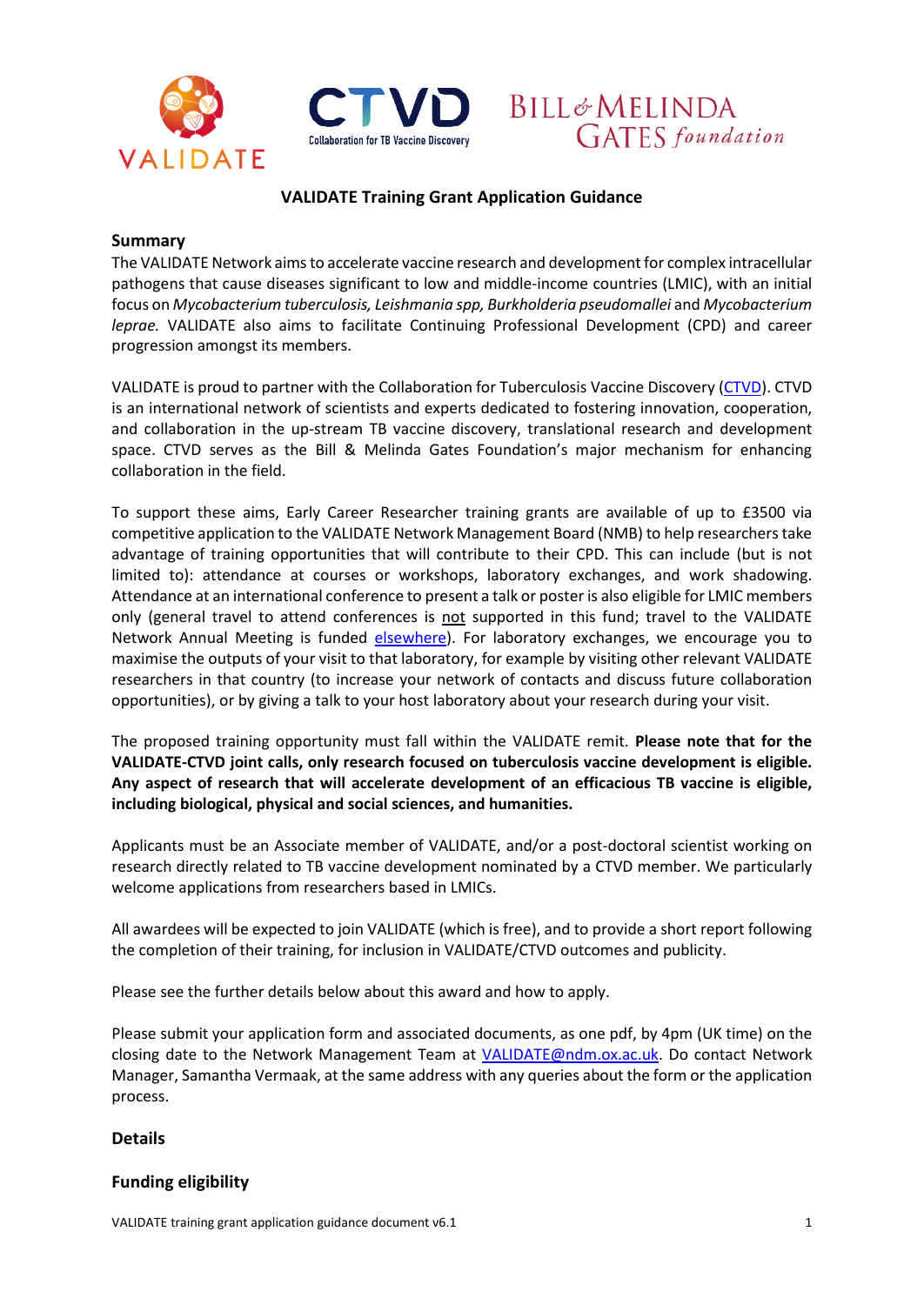





# **VALIDATE Training Grant Application Guidance**

#### **Summary**

The VALIDATE Network aims to accelerate vaccine research and development for complex intracellular pathogens that cause diseases significant to low and middle-income countries (LMIC), with an initial focus on *Mycobacterium tuberculosis, Leishmania spp, Burkholderia pseudomallei* and *Mycobacterium leprae.* VALIDATE also aims to facilitate Continuing Professional Development (CPD) and career progression amongst its members.

VALIDATE is proud to partner with the Collaboration for Tuberculosis Vaccine Discovery [\(CTVD\)](https://www.ctvd.org/). CTVD is an international network of scientists and experts dedicated to fostering innovation, cooperation, and collaboration in the up-stream TB vaccine discovery, translational research and development space. CTVD serves as the Bill & Melinda Gates Foundation's major mechanism for enhancing collaboration in the field.

To support these aims, Early Career Researcher training grants are available of up to £3500 via competitive application to the VALIDATE Network Management Board (NMB) to help researchers take advantage of training opportunities that will contribute to their CPD. This can include (but is not limited to): attendance at courses or workshops, laboratory exchanges, and work shadowing. Attendance at an international conference to present a talk or poster is also eligible for LMIC members only (general travel to attend conferences is not supported in this fund; travel to the VALIDATE Network Annual Meeting is funded [elsewhere\)](http://www.validate-network.org/annual-meeting). For laboratory exchanges, we encourage you to maximise the outputs of your visit to that laboratory, for example by visiting other relevant VALIDATE researchers in that country (to increase your network of contacts and discuss future collaboration opportunities), or by giving a talk to your host laboratory about your research during your visit.

The proposed training opportunity must fall within the VALIDATE remit. **Please note that for the VALIDATE-CTVD joint calls, only research focused on tuberculosis vaccine development is eligible. Any aspect of research that will accelerate development of an efficacious TB vaccine is eligible, including biological, physical and social sciences, and humanities.** 

Applicants must be an Associate member of VALIDATE, and/or a post-doctoral scientist working on research directly related to TB vaccine development nominated by a CTVD member. We particularly welcome applications from researchers based in LMICs.

All awardees will be expected to join VALIDATE (which is free), and to provide a short report following the completion of their training, for inclusion in VALIDATE/CTVD outcomes and publicity.

Please see the further details below about this award and how to apply.

Please submit your application form and associated documents, as one pdf, by 4pm (UK time) on the closing date to the Network Management Team at [VALIDATE@ndm.ox.ac.uk.](mailto:VALIDATE@ndm.ox.ac.uk) Do contact Network Manager, Samantha Vermaak, at the same address with any queries about the form or the application process.

### **Details**

# **Funding eligibility**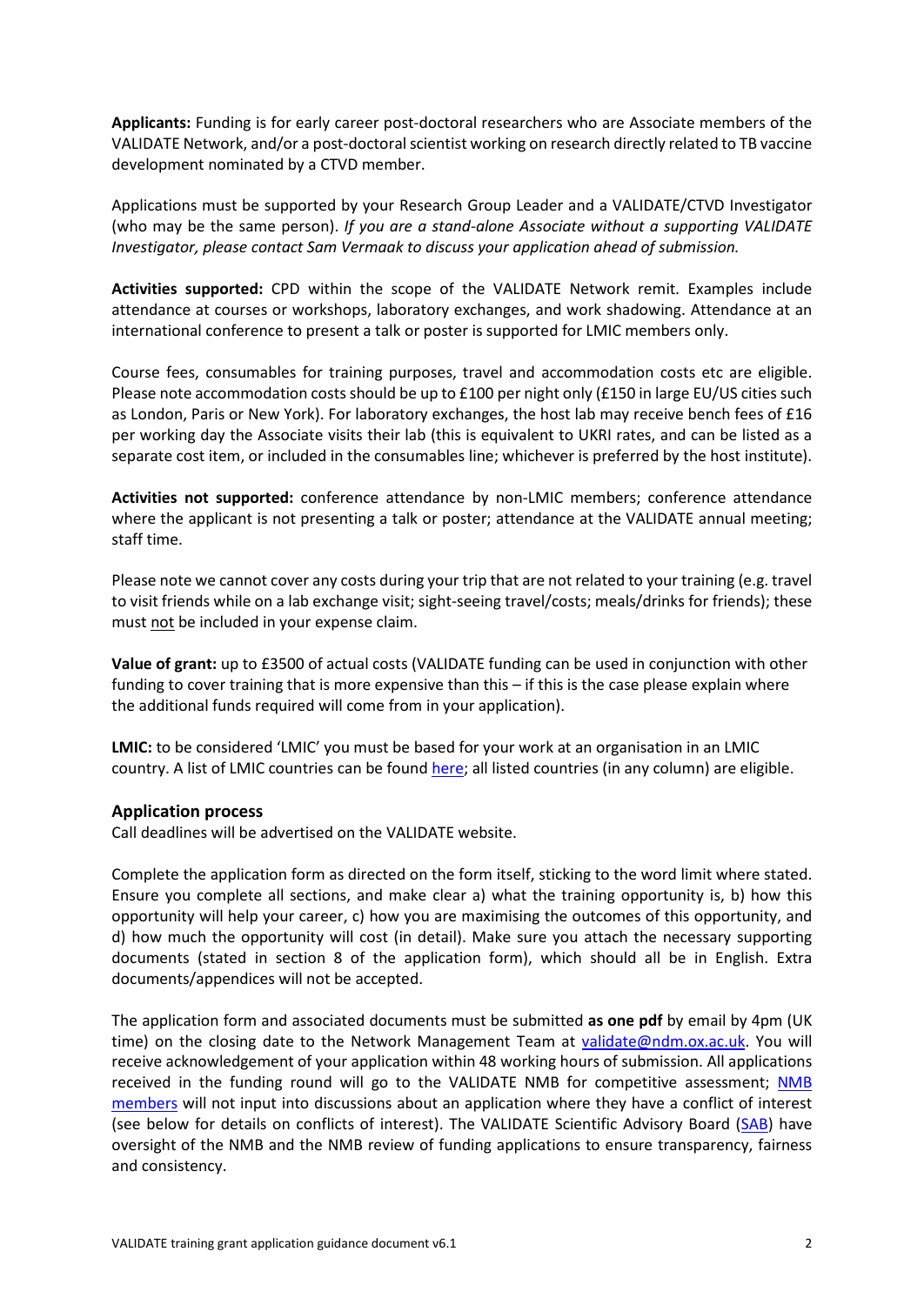**Applicants:** Funding is for early career post-doctoral researchers who are Associate members of the VALIDATE Network, and/or a post-doctoral scientist working on research directly related to TB vaccine development nominated by a CTVD member.

Applications must be supported by your Research Group Leader and a VALIDATE/CTVD Investigator (who may be the same person). *If you are a stand-alone Associate without a supporting VALIDATE Investigator, please contact Sam Vermaak to discuss your application ahead of submission.* 

**Activities supported:** CPD within the scope of the VALIDATE Network remit. Examples include attendance at courses or workshops, laboratory exchanges, and work shadowing. Attendance at an international conference to present a talk or poster is supported for LMIC members only.

Course fees, consumables for training purposes, travel and accommodation costs etc are eligible. Please note accommodation costs should be up to £100 per night only (£150 in large EU/US cities such as London, Paris or New York). For laboratory exchanges, the host lab may receive bench fees of £16 per working day the Associate visits their lab (this is equivalent to UKRI rates, and can be listed as a separate cost item, or included in the consumables line; whichever is preferred by the host institute).

**Activities not supported:** conference attendance by non-LMIC members; conference attendance where the applicant is not presenting a talk or poster; attendance at the VALIDATE annual meeting; staff time.

Please note we cannot cover any costs during your trip that are not related to your training (e.g. travel to visit friends while on a lab exchange visit; sight-seeing travel/costs; meals/drinks for friends); these must not be included in your expense claim.

**Value of grant:** up to £3500 of actual costs (VALIDATE funding can be used in conjunction with other funding to cover training that is more expensive than this – if this is the case please explain where the additional funds required will come from in your application).

**LMIC:** to be considered 'LMIC' you must be based for your work at an organisation in an LMIC country. A list of LMIC countries can be found [here;](http://www.oecd.org/dac/financing-sustainable-development/development-finance-standards/DAC-List-ODA-Recipients-for-reporting-2021-flows.pdf) all listed countries (in any column) are eligible.

### **Application process**

Call deadlines will be advertised on the VALIDATE website.

Complete the application form as directed on the form itself, sticking to the word limit where stated. Ensure you complete all sections, and make clear a) what the training opportunity is, b) how this opportunity will help your career, c) how you are maximising the outcomes of this opportunity, and d) how much the opportunity will cost (in detail). Make sure you attach the necessary supporting documents (stated in section 8 of the application form), which should all be in English. Extra documents/appendices will not be accepted.

The application form and associated documents must be submitted **as one pdf** by email by 4pm (UK time) on the closing date to the Network Management Team at [validate@ndm.ox.ac.uk.](mailto:validate@ndm.ox.ac.uk) You will receive acknowledgement of your application within 48 working hours of submission. All applications received in the funding round will go to the VALIDATE NMB for competitive assessment; [NMB](http://www.validate-network.org/network-management-board)  [members](http://www.validate-network.org/network-management-board) will not input into discussions about an application where they have a conflict of interest (see below for details on conflicts of interest). The VALIDATE Scientific Advisory Board [\(SAB\)](http://www.validate-network.org/scientific-advisory-board) have oversight of the NMB and the NMB review of funding applications to ensure transparency, fairness and consistency.